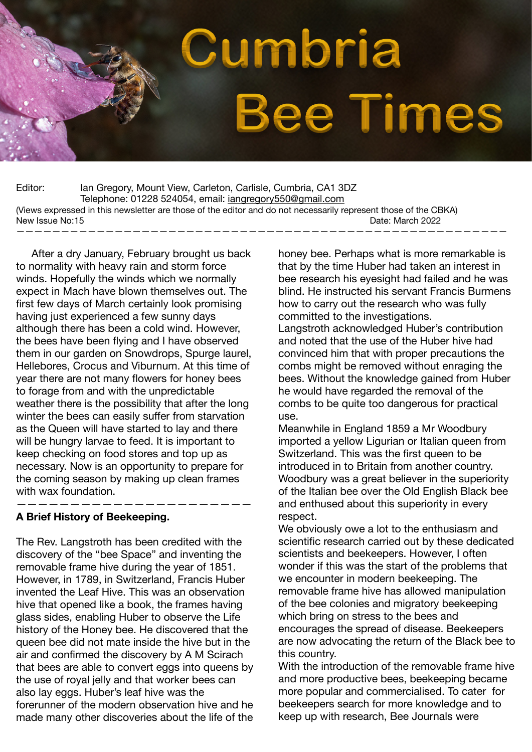

Editor: Ian Gregory, Mount View, Carleton, Carlisle, Cumbria, CA1 3DZ Telephone: 01228 524054, email: [iangregory550@gmail.com](mailto:iangregory550@gmail.com) (Views expressed in this newsletter are those of the editor and do not necessarily represent those of the CBKA) New Issue No:15 Note that the state of the state of the state of the State March 2022 Date: March 2022 ———————————————————————————————————————————————————————

 After a dry January, February brought us back to normality with heavy rain and storm force winds. Hopefully the winds which we normally expect in Mach have blown themselves out. The first few days of March certainly look promising having just experienced a few sunny days although there has been a cold wind. However, the bees have been flying and I have observed them in our garden on Snowdrops, Spurge laurel, Hellebores, Crocus and Viburnum. At this time of year there are not many flowers for honey bees to forage from and with the unpredictable weather there is the possibility that after the long winter the bees can easily suffer from starvation as the Queen will have started to lay and there will be hungry larvae to feed. It is important to keep checking on food stores and top up as necessary. Now is an opportunity to prepare for the coming season by making up clean frames with wax foundation.

### **A Brief History of Beekeeping.**

The Rev. Langstroth has been credited with the discovery of the "bee Space" and inventing the removable frame hive during the year of 1851. However, in 1789, in Switzerland, Francis Huber invented the Leaf Hive. This was an observation hive that opened like a book, the frames having glass sides, enabling Huber to observe the Life history of the Honey bee. He discovered that the queen bee did not mate inside the hive but in the air and confirmed the discovery by A M Scirach that bees are able to convert eggs into queens by the use of royal jelly and that worker bees can also lay eggs. Huber's leaf hive was the forerunner of the modern observation hive and he made many other discoveries about the life of the

——————————————————————

honey bee. Perhaps what is more remarkable is that by the time Huber had taken an interest in bee research his eyesight had failed and he was blind. He instructed his servant Francis Burmens how to carry out the research who was fully committed to the investigations.

Langstroth acknowledged Huber's contribution and noted that the use of the Huber hive had convinced him that with proper precautions the combs might be removed without enraging the bees. Without the knowledge gained from Huber he would have regarded the removal of the combs to be quite too dangerous for practical use.

Meanwhile in England 1859 a Mr Woodbury imported a yellow Ligurian or Italian queen from Switzerland. This was the first queen to be introduced in to Britain from another country. Woodbury was a great believer in the superiority of the Italian bee over the Old English Black bee and enthused about this superiority in every respect.

We obviously owe a lot to the enthusiasm and scientific research carried out by these dedicated scientists and beekeepers. However, I often wonder if this was the start of the problems that we encounter in modern beekeeping. The removable frame hive has allowed manipulation of the bee colonies and migratory beekeeping which bring on stress to the bees and encourages the spread of disease. Beekeepers are now advocating the return of the Black bee to this country.

With the introduction of the removable frame hive and more productive bees, beekeeping became more popular and commercialised. To cater for beekeepers search for more knowledge and to keep up with research, Bee Journals were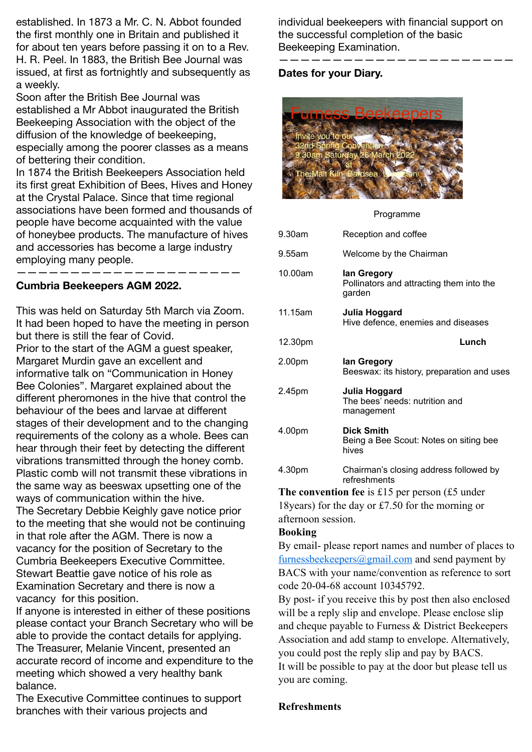established. In 1873 a Mr. C. N. Abbot founded the first monthly one in Britain and published it for about ten years before passing it on to a Rev. H. R. Peel. In 1883, the British Bee Journal was issued, at first as fortnightly and subsequently as a weekly.

Soon after the British Bee Journal was established a Mr Abbot inaugurated the British Beekeeping Association with the object of the diffusion of the knowledge of beekeeping, especially among the poorer classes as a means of bettering their condition.

In 1874 the British Beekeepers Association held its first great Exhibition of Bees, Hives and Honey at the Crystal Palace. Since that time regional associations have been formed and thousands of people have become acquainted with the value of honeybee products. The manufacture of hives and accessories has become a large industry employing many people.

—————————————————————

# **Cumbria Beekeepers AGM 2022.**

This was held on Saturday 5th March via Zoom. It had been hoped to have the meeting in person but there is still the fear of Covid. Prior to the start of the AGM a guest speaker, Margaret Murdin gave an excellent and informative talk on "Communication in Honey Bee Colonies". Margaret explained about the different pheromones in the hive that control the behaviour of the bees and larvae at different stages of their development and to the changing requirements of the colony as a whole. Bees can hear through their feet by detecting the different vibrations transmitted through the honey comb. Plastic comb will not transmit these vibrations in the same way as beeswax upsetting one of the ways of communication within the hive. The Secretary Debbie Keighly gave notice prior to the meeting that she would not be continuing in that role after the AGM. There is now a vacancy for the position of Secretary to the Cumbria Beekeepers Executive Committee. Stewart Beattie gave notice of his role as Examination Secretary and there is now a vacancy for this position.

If anyone is interested in either of these positions please contact your Branch Secretary who will be able to provide the contact details for applying. The Treasurer, Melanie Vincent, presented an accurate record of income and expenditure to the meeting which showed a very healthy bank balance.

The Executive Committee continues to support branches with their various projects and

individual beekeepers with financial support on the successful completion of the basic Beekeeping Examination.

——————————————————————

# **Dates for your Diary.**



Programme

| 9.30am  | Reception and coffee                                              |
|---------|-------------------------------------------------------------------|
| 9.55am  | Welcome by the Chairman                                           |
| 10.00am | lan Gregory<br>Pollinators and attracting them into the<br>garden |
| 11.15am | Julia Hoggard<br>Hive defence, enemies and diseases               |
| 12.30pm | Lunch                                                             |
| 2.00pm  | lan Gregory<br>Beeswax: its history, preparation and uses         |
| 2.45pm  | Julia Hoggard<br>The bees' needs: nutrition and<br>management     |
| 4.00pm  | Dick Smith<br>Being a Bee Scout: Notes on siting bee<br>hives     |
| 4.30pm  | Chairman's closing address followed by                            |

**The convention fee** is £15 per person (£5 under 18years) for the day or £7.50 for the morning or afternoon session.

### **Booking**

By email- please report names and number of places to furnessbeekeepers $(a)$ gmail.com and send payment by BACS with your name/convention as reference to sort code 20-04-68 account 10345792.

By post- if you receive this by post then also enclosed will be a reply slip and envelope. Please enclose slip and cheque payable to Furness & District Beekeepers Association and add stamp to envelope. Alternatively, you could post the reply slip and pay by BACS. It will be possible to pay at the door but please tell us you are coming.

### **Refreshments**